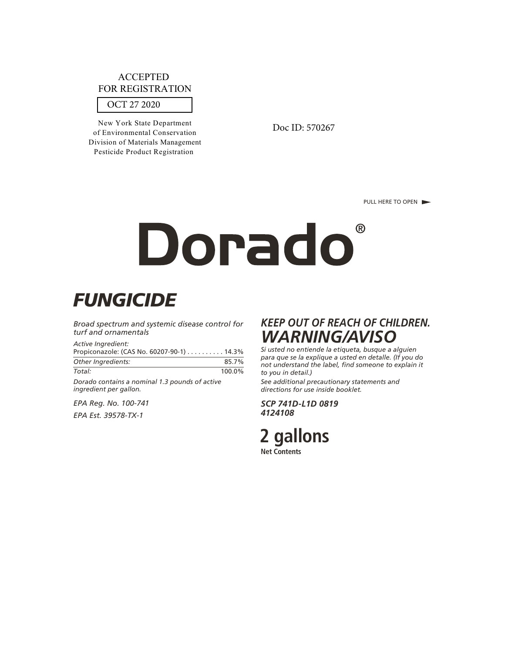# OCT 27 2020 ACCEPTED FOR REGISTRATION

New York State Department of Environmental Conservation Division of Materials Management Pesticide Product Registration

Doc ID: 570267

PULL HERE TO OPEN

# Dorado ®

# *FUNGICIDE*

*Broad spectrum and systemic disease control for turf and ornamentals*

*Active Ingredient:* Propiconazole: (CAS No. 60207-90-1) . . . . . . . . . . 14.3% *Other Ingredients:* 85.7% *Total:* 100.0%

*Dorado contains a nominal 1.3 pounds of active ingredient per gallon.*

*EPA Reg. No. 100-741 EPA Est. 39578-TX-1*

# *KEEP OUT OF REACH OF CHILDREN. WARNING/AVISO*

*Si usted no entiende la etiqueta, busque a alguien para que se la explique a usted en detalle. (If you do not understand the label, find someone to explain it to you in detail.)*

*See additional precautionary statements and directions for use inside booklet.*

*SCP 741D-L1D 0819 4124108*

2 gallons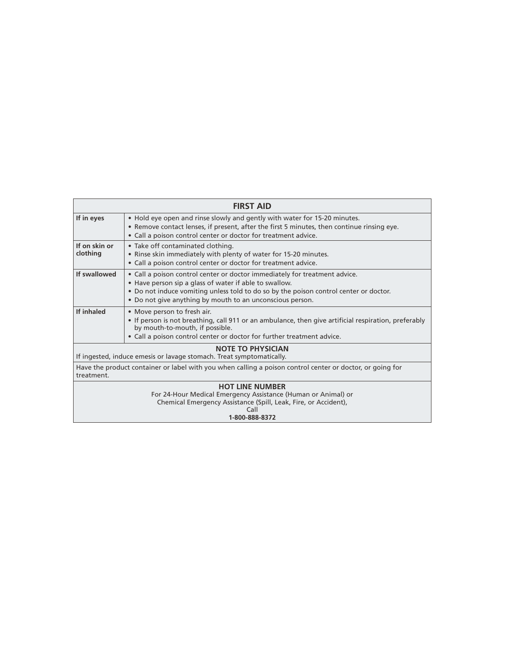| <b>FIRST AID</b>                                                                                                                                                             |                                                                                                                                                                                                                                                                                            |  |  |  |
|------------------------------------------------------------------------------------------------------------------------------------------------------------------------------|--------------------------------------------------------------------------------------------------------------------------------------------------------------------------------------------------------------------------------------------------------------------------------------------|--|--|--|
| If in eyes                                                                                                                                                                   | • Hold eye open and rinse slowly and gently with water for 15-20 minutes.<br>• Remove contact lenses, if present, after the first 5 minutes, then continue rinsing eye.<br>• Call a poison control center or doctor for treatment advice.                                                  |  |  |  |
| If on skin or<br>clothing                                                                                                                                                    | • Take off contaminated clothing.<br>• Rinse skin immediately with plenty of water for 15-20 minutes.<br>• Call a poison control center or doctor for treatment advice.                                                                                                                    |  |  |  |
| If swallowed                                                                                                                                                                 | • Call a poison control center or doctor immediately for treatment advice.<br>• Have person sip a glass of water if able to swallow.<br>. Do not induce vomiting unless told to do so by the poison control center or doctor.<br>• Do not give anything by mouth to an unconscious person. |  |  |  |
| If inhaled                                                                                                                                                                   | • Move person to fresh air.<br>. If person is not breathing, call 911 or an ambulance, then give artificial respiration, preferably<br>by mouth-to-mouth, if possible.<br>• Call a poison control center or doctor for further treatment advice.                                           |  |  |  |
| <b>NOTE TO PHYSICIAN</b><br>If ingested, induce emesis or lavage stomach. Treat symptomatically.                                                                             |                                                                                                                                                                                                                                                                                            |  |  |  |
| Have the product container or label with you when calling a poison control center or doctor, or going for<br>treatment.                                                      |                                                                                                                                                                                                                                                                                            |  |  |  |
| <b>HOT LINE NUMBER</b><br>For 24-Hour Medical Emergency Assistance (Human or Animal) or<br>Chemical Emergency Assistance (Spill, Leak, Fire, or Accident),<br>1-800-888-8372 |                                                                                                                                                                                                                                                                                            |  |  |  |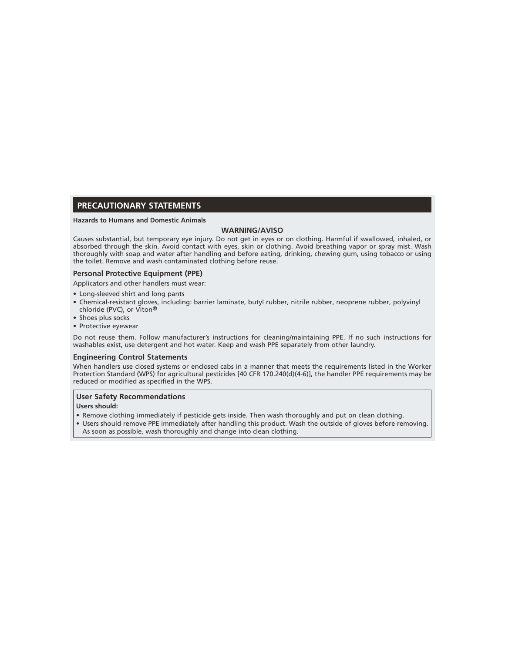#### **PRECAUTIONARY STATEMENTS**

#### **Hazards to Humans and Domestic Animals**

#### **WARNING/AVISO**

Causes substantial, but temporary eye injury. Do not get in eyes or on clothing. Harmful if swallowed, inhaled, or absorbed through the skin. Avoid contact with eyes, skin or clothing. Avoid breathing vapor or spray mist. Wash thoroughly with soap and water after handling and before eating, drinking, chewing gum, using tobacco or using the toilet. Remove and wash contaminated clothing before reuse.

#### **Personal Protective Equipment (PPE)**

Applicators and other handlers must wear:

- Long-sleeved shirt and long pants
- Chemical-resistant gloves, including: barrier laminate, butyl rubber, nitrile rubber, neoprene rubber, polyvinyl chloride (PVC), or Viton®
- Shoes plus socks
- Protective eyewear

Do not reuse them. Follow manufacturer's instructions for cleaning/maintaining PPE. If no such instructions for washables exist, use detergent and hot water. Keep and wash PPE separately from other laundry.

#### **Engineering Control Statements**

When handlers use closed systems or enclosed cabs in a manner that meets the requirements listed in the Worker Protection Standard (WPS) for agricultural pesticides [40 CFR 170.240(d)(4-6)], the handler PPE requirements may be reduced or modified as specified in the WPS.

#### **User Safety Recommendations**

**Users should:**

- Remove clothing immediately if pesticide gets inside. Then wash thoroughly and put on clean clothing.
- Users should remove PPE immediately after handling this product. Wash the outside of gloves before removing. As soon as possible, wash thoroughly and change into clean clothing.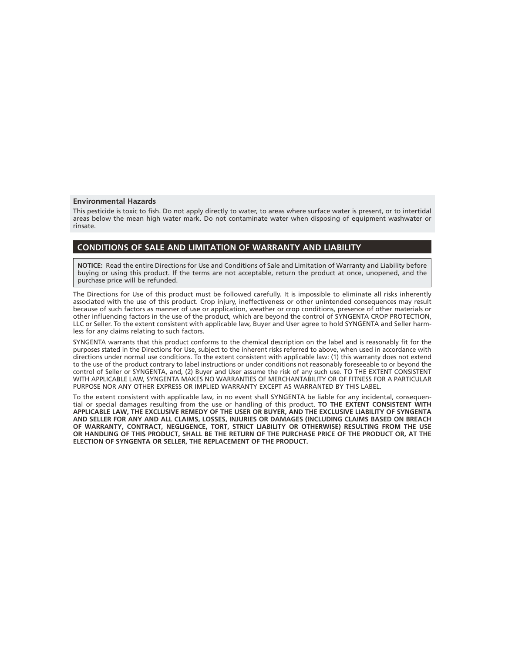#### **Environmental Hazards**

This pesticide is toxic to fish. Do not apply directly to water, to areas where surface water is present, or to intertidal areas below the mean high water mark. Do not contaminate water when disposing of equipment washwater or rinsate.

#### **CONDITIONS OF SALE AND LIMITATION OF WARRANTY AND LIABILITY**

**NOTICE:** Read the entire Directions for Use and Conditions of Sale and Limitation of Warranty and Liability before buying or using this product. If the terms are not acceptable, return the product at once, unopened, and the purchase price will be refunded.

The Directions for Use of this product must be followed carefully. It is impossible to eliminate all risks inherently associated with the use of this product. Crop injury, ineffectiveness or other unintended consequences may result because of such factors as manner of use or application, weather or crop conditions, presence of other materials or other influencing factors in the use of the product, which are beyond the control of SYNGENTA CROP PROTECTION, LLC or Seller. To the extent consistent with applicable law, Buyer and User agree to hold SYNGENTA and Seller harmless for any claims relating to such factors.

SYNGENTA warrants that this product conforms to the chemical description on the label and is reasonably fit for the purposes stated in the Directions for Use, subject to the inherent risks referred to above, when used in accordance with directions under normal use conditions. To the extent consistent with applicable law: (1) this warranty does not extend to the use of the product contrary to label instructions or under conditions not reasonably foreseeable to or beyond the control of Seller or SYNGENTA, and, (2) Buyer and User assume the risk of any such use. TO THE EXTENT CONSISTENT WITH APPLICABLE LAW, SYNGENTA MAKES NO WARRANTIES OF MERCHANTABILITY OR OF FITNESS FOR A PARTICULAR PURPOSE NOR ANY OTHER EXPRESS OR IMPLIED WARRANTY EXCEPT AS WARRANTED BY THIS LABEL.

To the extent consistent with applicable law, in no event shall SYNGENTA be liable for any incidental, consequential or special damages resulting from the use or handling of this product. **TO THE EXTENT CONSISTENT WITH APPLICABLE LAW, THE EXCLUSIVE REMEDY OF THE USER OR BUYER, AND THE EXCLUSIVE LIABILITY OF SYNGENTA AND SELLER FOR ANY AND ALL CLAIMS, LOSSES, INJURIES OR DAMAGES (INCLUDING CLAIMS BASED ON BREACH OF WARRANTY, CONTRACT, NEGLIGENCE, TORT, STRICT LIABILITY OR OTHERWISE) RESULTING FROM THE USE OR HANDLING OF THIS PRODUCT, SHALL BE THE RETURN OF THE PURCHASE PRICE OF THE PRODUCT OR, AT THE ELECTION OF SYNGENTA OR SELLER, THE REPLACEMENT OF THE PRODUCT.**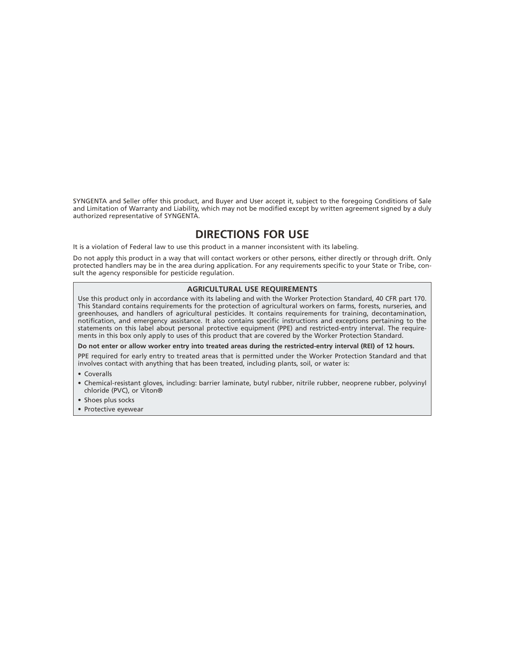SYNGENTA and Seller offer this product, and Buyer and User accept it, subject to the foregoing Conditions of Sale and Limitation of Warranty and Liability, which may not be modified except by written agreement signed by a duly authorized representative of SYNGENTA.

## **DIRECTIONS FOR USE**

It is a violation of Federal law to use this product in a manner inconsistent with its labeling.

Do not apply this product in a way that will contact workers or other persons, either directly or through drift. Only protected handlers may be in the area during application. For any requirements specific to your State or Tribe, consult the agency responsible for pesticide regulation.

#### **AGRICULTURAL USE REQUIREMENTS**

Use this product only in accordance with its labeling and with the Worker Protection Standard, 40 CFR part 170. This Standard contains requirements for the protection of agricultural workers on farms, forests, nurseries, and greenhouses, and handlers of agricultural pesticides. It contains requirements for training, decontamination, notification, and emergency assistance. It also contains specific instructions and exceptions pertaining to the statements on this label about personal protective equipment (PPE) and restricted-entry interval. The requirements in this box only apply to uses of this product that are covered by the Worker Protection Standard.

#### **Do not enter or allow worker entry into treated areas during the restricted-entry interval (REI) of 12 hours.**

PPE required for early entry to treated areas that is permitted under the Worker Protection Standard and that involves contact with anything that has been treated, including plants, soil, or water is:

- Coveralls
- Chemical-resistant gloves, including: barrier laminate, butyl rubber, nitrile rubber, neoprene rubber, polyvinyl chloride (PVC), or Viton®
- Shoes plus socks
- Protective eyewear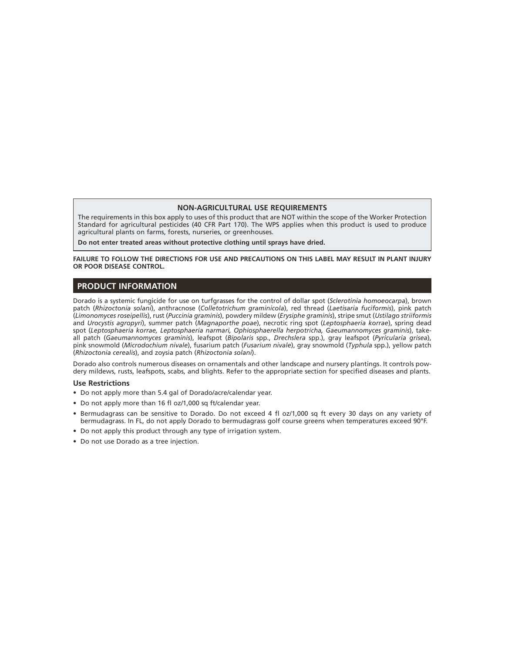#### **NON-AGRICULTURAL USE REQUIREMENTS**

The requirements in this box apply to uses of this product that are NOT within the scope of the Worker Protection Standard for agricultural pesticides (40 CFR Part 170). The WPS applies when this product is used to produce agricultural plants on farms, forests, nurseries, or greenhouses.

**Do not enter treated areas without protective clothing until sprays have dried.**

**FAILURE TO FOLLOW THE DIRECTIONS FOR USE AND PRECAUTIONS ON THIS LABEL MAY RESULT IN PLANT INJURY OR POOR DISEASE CONTROL.**

#### **PRODUCT INFORMATION**

Dorado is a systemic fungicide for use on turfgrasses for the control of dollar spot (*Sclerotinia homoeocarpa*), brown patch (*Rhizoctonia solani*), anthracnose (*Colletotrichum graminicola*), red thread (*Laetisaria fuciformis*), pink patch (*Limonomyces roseipellis*), rust (*Puccinia graminis*), powdery mildew (*Erysiphe graminis*), stripe smut (*Ustilago striiformis* and *Urocystis agropyri*), summer patch (*Magnaporthe poae*), necrotic ring spot (*Leptosphaeria korrae*), spring dead spot (*Leptosphaeria korrae, Leptosphaeria narmari, Ophiosphaerella herpotricha, Gaeumannomyces graminis*), takeall patch (*Gaeumannomyces graminis*), leafspot (*Bipolaris* spp., *Drechslera* spp.), gray leafspot (*Pyricularia grisea*), pink snowmold (*Microdochium nivale*), fusarium patch (*Fusarium nivale*), gray snowmold (*Typhula* spp.), yellow patch (*Rhizoctonia cerealis*), and zoysia patch (*Rhizoctonia solani*).

Dorado also controls numerous diseases on ornamentals and other landscape and nursery plantings. It controls powdery mildews, rusts, leafspots, scabs, and blights. Refer to the appropriate section for specified diseases and plants.

#### **Use Restrictions**

- Do not apply more than 5.4 gal of Dorado/acre/calendar year.
- Do not apply more than 16 fl oz/1,000 sq ft/calendar year.
- Bermudagrass can be sensitive to Dorado. Do not exceed 4 fl oz/1,000 sq ft every 30 days on any variety of bermudagrass. In FL, do not apply Dorado to bermudagrass golf course greens when temperatures exceed 90°F.
- Do not apply this product through any type of irrigation system.
- Do not use Dorado as a tree injection.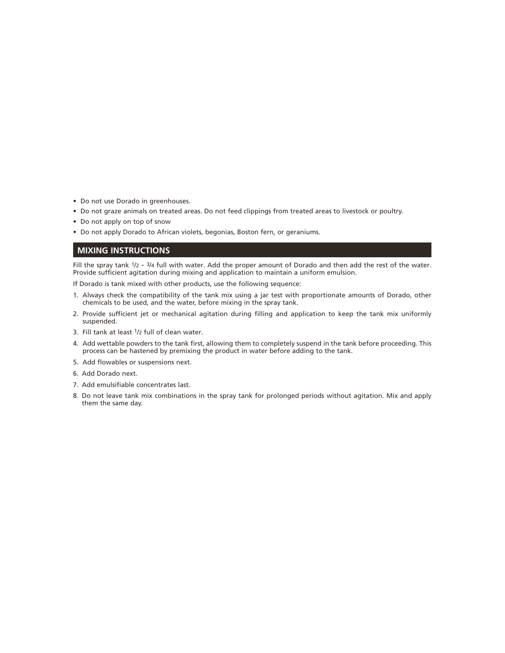- Do not use Dorado in greenhouses.
- Do not graze animals on treated areas. Do not feed clippings from treated areas to livestock or poultry.
- Do not apply on top of snow
- Do not apply Dorado to African violets, begonias, Boston fern, or geraniums.

#### **MIXING INSTRUCTIONS**

Fill the spray tank  $1/2$  -  $3/4$  full with water. Add the proper amount of Dorado and then add the rest of the water. Provide sufficient agitation during mixing and application to maintain a uniform emulsion.

If Dorado is tank mixed with other products, use the following sequence:

- 1. Always check the compatibility of the tank mix using a jar test with proportionate amounts of Dorado, other chemicals to be used, and the water, before mixing in the spray tank.
- 2. Provide sufficient jet or mechanical agitation during filling and application to keep the tank mix uniformly suspended.
- 3. Fill tank at least 1/2 full of clean water.
- 4. Add wettable powders to the tank first, allowing them to completely suspend in the tank before proceeding. This process can be hastened by premixing the product in water before adding to the tank.
- 5. Add flowables or suspensions next.
- 6. Add Dorado next.
- 7. Add emulsifiable concentrates last.
- 8. Do not leave tank mix combinations in the spray tank for prolonged periods without agitation. Mix and apply them the same day.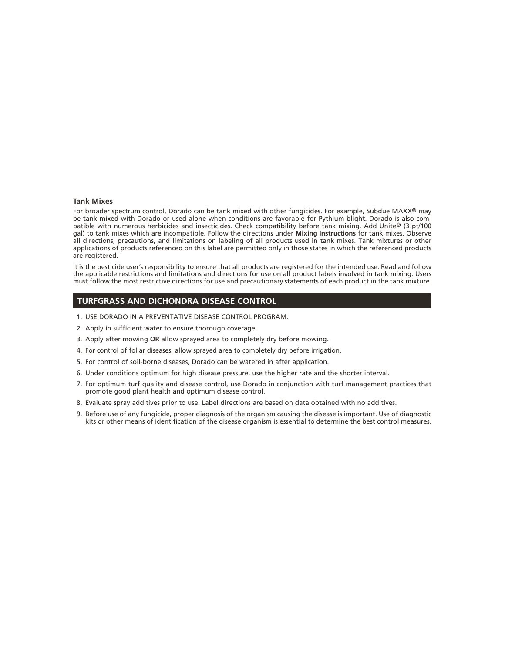#### **Tank Mixes**

For broader spectrum control, Dorado can be tank mixed with other fungicides. For example, Subdue MAXX® may be tank mixed with Dorado or used alone when conditions are favorable for Pythium blight. Dorado is also compatible with numerous herbicides and insecticides. Check compatibility before tank mixing. Add Unite® (3 pt/100 gal) to tank mixes which are incompatible. Follow the directions under **Mixing Instructions** for tank mixes. Observe all directions, precautions, and limitations on labeling of all products used in tank mixes. Tank mixtures or other applications of products referenced on this label are permitted only in those states in which the referenced products are registered.

It is the pesticide user's responsibility to ensure that all products are registered for the intended use. Read and follow the applicable restrictions and limitations and directions for use on all product labels involved in tank mixing. Users must follow the most restrictive directions for use and precautionary statements of each product in the tank mixture.

#### **TURFGRASS AND DICHONDRA DISEASE CONTROL**

- 1. USE DORADO IN A PREVENTATIVE DISEASE CONTROL PROGRAM.
- 2. Apply in sufficient water to ensure thorough coverage.
- 3. Apply after mowing **OR** allow sprayed area to completely dry before mowing.
- 4. For control of foliar diseases, allow sprayed area to completely dry before irrigation.
- 5. For control of soil-borne diseases, Dorado can be watered in after application.
- 6. Under conditions optimum for high disease pressure, use the higher rate and the shorter interval.
- 7. For optimum turf quality and disease control, use Dorado in conjunction with turf management practices that promote good plant health and optimum disease control.
- 8. Evaluate spray additives prior to use. Label directions are based on data obtained with no additives.
- 9. Before use of any fungicide, proper diagnosis of the organism causing the disease is important. Use of diagnostic kits or other means of identification of the disease organism is essential to determine the best control measures.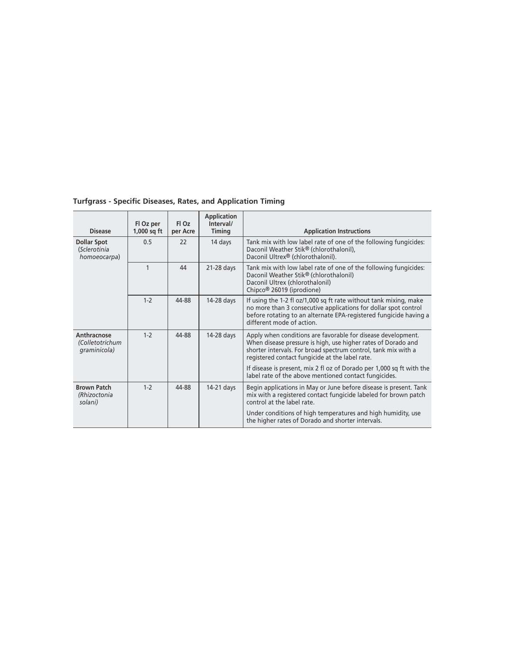| <b>Disease</b>                                     | Fl Oz per<br>$1,000$ sq ft | FI Oz<br>per Acre | <b>Application</b><br>Interval/<br>Timing | <b>Application Instructions</b>                                                                                                                                                                                                                    |
|----------------------------------------------------|----------------------------|-------------------|-------------------------------------------|----------------------------------------------------------------------------------------------------------------------------------------------------------------------------------------------------------------------------------------------------|
| <b>Dollar Spot</b><br>(Sclerotinia<br>homoeocarpa) | 0.5                        | 22                | 14 days                                   | Tank mix with low label rate of one of the following fungicides:<br>Daconil Weather Stik® (chlorothalonil),<br>Daconil Ultrex® (chlorothalonil).                                                                                                   |
|                                                    | $\mathbf{1}$               | 44                | $21-28$ days                              | Tank mix with low label rate of one of the following fungicides:<br>Daconil Weather Stik® (chlorothalonil)<br>Daconil Ultrex (chlorothalonil)<br>Chipco <sup>®</sup> 26019 (iprodione)                                                             |
|                                                    | $1-2$                      | 44-88             | $14-28$ days                              | If using the 1-2 fl oz/1,000 sq ft rate without tank mixing, make<br>no more than 3 consecutive applications for dollar spot control<br>before rotating to an alternate EPA-registered fungicide having a<br>different mode of action.             |
| Anthracnose<br>(Colletotrichum<br>graminicola)     | $1-2$                      | 44-88             | 14-28 days                                | Apply when conditions are favorable for disease development.<br>When disease pressure is high, use higher rates of Dorado and<br>shorter intervals. For broad spectrum control, tank mix with a<br>registered contact fungicide at the label rate. |
|                                                    |                            |                   |                                           | If disease is present, mix 2 fl oz of Dorado per 1,000 sq ft with the<br>label rate of the above mentioned contact fungicides.                                                                                                                     |
| <b>Brown Patch</b><br>(Rhizoctonia<br>solani)      | $1-2$                      | 44-88             | 14-21 days                                | Begin applications in May or June before disease is present. Tank<br>mix with a registered contact fungicide labeled for brown patch<br>control at the label rate.                                                                                 |
|                                                    |                            |                   |                                           | Under conditions of high temperatures and high humidity, use<br>the higher rates of Dorado and shorter intervals.                                                                                                                                  |

**Turfgrass - Specific Diseases, Rates, and Application Timing**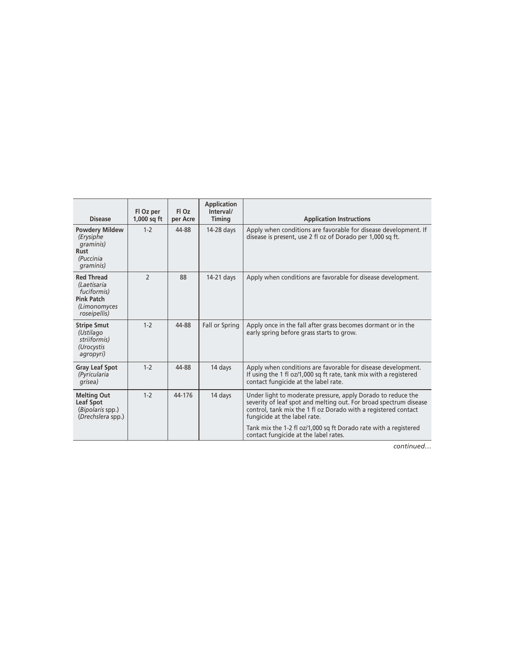| <b>Disease</b>                                                                                       | Fl Oz per<br>$1,000$ sq ft | Fl Oz<br>per Acre | Application<br>Interval/<br>Timing | <b>Application Instructions</b>                                                                                                                                                                                                     |
|------------------------------------------------------------------------------------------------------|----------------------------|-------------------|------------------------------------|-------------------------------------------------------------------------------------------------------------------------------------------------------------------------------------------------------------------------------------|
| <b>Powdery Mildew</b><br>(Erysiphe<br>graminis)<br><b>Rust</b><br>(Puccinia<br>graminis)             | $1 - 2$                    | 44-88             | 14-28 days                         | Apply when conditions are favorable for disease development. If<br>disease is present, use 2 fl oz of Dorado per 1,000 sq ft.                                                                                                       |
| <b>Red Thread</b><br>(Laetisaria<br>fuciformis)<br><b>Pink Patch</b><br>(Limonomyces<br>roseipellis) | $\mathcal{P}$              | 88                | 14-21 days                         | Apply when conditions are favorable for disease development.                                                                                                                                                                        |
| <b>Stripe Smut</b><br>(Ustilago<br>striiformis)<br>(Urocystis<br>agropyri)                           | $1-2$                      | 44-88             | Fall or Spring                     | Apply once in the fall after grass becomes dormant or in the<br>early spring before grass starts to grow.                                                                                                                           |
| <b>Gray Leaf Spot</b><br>(Pyricularia<br>grisea)                                                     | $1-2$                      | 44-88             | 14 days                            | Apply when conditions are favorable for disease development.<br>If using the 1 fl oz/1,000 sq ft rate, tank mix with a registered<br>contact fungicide at the label rate.                                                           |
| <b>Melting Out</b><br><b>Leaf Spot</b><br>(Bipolaris spp.)<br>(Drechslera spp.)                      | $1-2$                      | 44-176            | 14 days                            | Under light to moderate pressure, apply Dorado to reduce the<br>severity of leaf spot and melting out. For broad spectrum disease<br>control, tank mix the 1 fl oz Dorado with a registered contact<br>fungicide at the label rate. |
|                                                                                                      |                            |                   |                                    | Tank mix the 1-2 fl oz/1,000 sq ft Dorado rate with a registered<br>contact fungicide at the label rates.                                                                                                                           |

*continued…*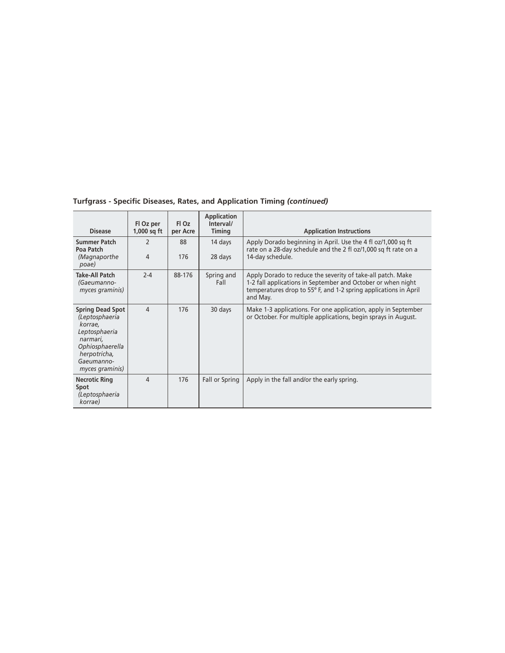| <b>Disease</b>                                                                                                                                        | Fl Oz per<br>$1,000$ sq ft | FI Oz<br>per Acre | <b>Application</b><br>Interval/<br><b>Timing</b> | <b>Application Instructions</b>                                                                                                                                                                             |
|-------------------------------------------------------------------------------------------------------------------------------------------------------|----------------------------|-------------------|--------------------------------------------------|-------------------------------------------------------------------------------------------------------------------------------------------------------------------------------------------------------------|
| <b>Summer Patch</b><br>Poa Patch<br>(Magnaporthe<br>poae)                                                                                             | $\mathcal{P}$<br>4         | 88<br>176         | 14 days<br>28 days                               | Apply Dorado beginning in April. Use the 4 fl oz/1,000 sq ft<br>rate on a 28-day schedule and the 2 fl oz/1,000 sq ft rate on a<br>14-day schedule.                                                         |
| <b>Take-All Patch</b><br>(Gaeumanno-<br>myces graminis)                                                                                               | $2 - 4$                    | 88-176            | Spring and<br>Fall                               | Apply Dorado to reduce the severity of take-all patch. Make<br>1-2 fall applications in September and October or when night<br>temperatures drop to 55° F, and 1-2 spring applications in April<br>and May. |
| <b>Spring Dead Spot</b><br>(Leptosphaeria<br>korrae,<br>Leptosphaeria<br>narmari,<br>Ophiosphaerella<br>herpotricha,<br>Gaeumanno-<br>myces graminis) | 4                          | 176               | 30 days                                          | Make 1-3 applications. For one application, apply in September<br>or October. For multiple applications, begin sprays in August.                                                                            |
| <b>Necrotic Ring</b><br>Spot<br>(Leptosphaeria<br>korrae)                                                                                             | 4                          | 176               | Fall or Spring                                   | Apply in the fall and/or the early spring.                                                                                                                                                                  |

**Turfgrass - Specific Diseases, Rates, and Application Timing** *(continued)*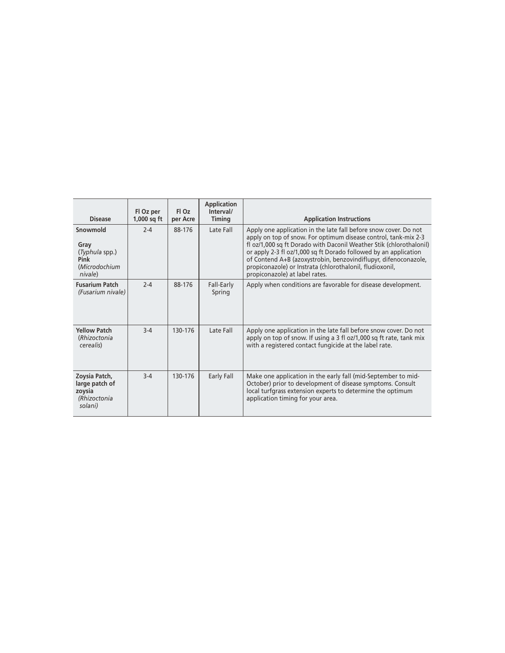| <b>Disease</b>                                                         | Fl Oz per<br>$1,000$ sq ft | FI Oz<br>per Acre | <b>Application</b><br>Interval/<br>Timing | <b>Application Instructions</b>                                                                                                                                                                                                                                                                                                                                                                                                                 |
|------------------------------------------------------------------------|----------------------------|-------------------|-------------------------------------------|-------------------------------------------------------------------------------------------------------------------------------------------------------------------------------------------------------------------------------------------------------------------------------------------------------------------------------------------------------------------------------------------------------------------------------------------------|
| Snowmold<br>Gray<br>(Typhula spp.)<br>Pink<br>(Microdochium<br>nivale) | $2 - 4$                    | 88-176            | Late Fall                                 | Apply one application in the late fall before snow cover. Do not<br>apply on top of snow. For optimum disease control, tank-mix 2-3<br>fl oz/1,000 sq ft Dorado with Daconil Weather Stik (chlorothalonil)<br>or apply 2-3 fl oz/1,000 sq ft Dorado followed by an application<br>of Contend A+B (azoxystrobin, benzovindiflupyr, difenoconazole,<br>propiconazole) or Instrata (chlorothalonil, fludioxonil,<br>propiconazole) at label rates. |
| <b>Fusarium Patch</b><br>(Fusarium nivale)                             | $2 - 4$                    | 88-176            | Fall-Early<br>Spring                      | Apply when conditions are favorable for disease development.                                                                                                                                                                                                                                                                                                                                                                                    |
| <b>Yellow Patch</b><br>(Rhizoctonia<br>cerealis)                       | $3-4$                      | 130-176           | Late Fall                                 | Apply one application in the late fall before snow cover. Do not<br>apply on top of snow. If using a 3 fl oz/1,000 sq ft rate, tank mix<br>with a registered contact fungicide at the label rate.                                                                                                                                                                                                                                               |
| Zoysia Patch,<br>large patch of<br>zoysia<br>(Rhizoctonia<br>solani)   | $3-4$                      | 130-176           | Early Fall                                | Make one application in the early fall (mid-September to mid-<br>October) prior to development of disease symptoms. Consult<br>local turfgrass extension experts to determine the optimum<br>application timing for your area.                                                                                                                                                                                                                  |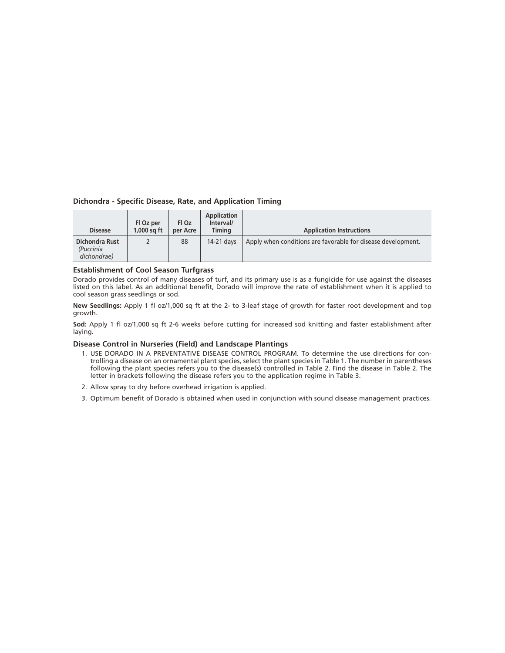#### **Dichondra - Specific Disease, Rate, and Application Timing**

| <b>Disease</b>                                    | Fl Oz per<br>$1.000$ sa ft | Fl Oz<br>per Acre | Application<br>Interval/<br>Timina | <b>Application Instructions</b>                              |
|---------------------------------------------------|----------------------------|-------------------|------------------------------------|--------------------------------------------------------------|
| <b>Dichondra Rust</b><br>(Puccinia<br>dichondrae) |                            | 88                | 14-21 days                         | Apply when conditions are favorable for disease development. |

#### **Establishment of Cool Season Turfgrass**

Dorado provides control of many diseases of turf, and its primary use is as a fungicide for use against the diseases listed on this label. As an additional benefit, Dorado will improve the rate of establishment when it is applied to cool season grass seedlings or sod.

**New Seedlings:** Apply 1 fl oz/1,000 sq ft at the 2- to 3-leaf stage of growth for faster root development and top growth.

**Sod:** Apply 1 fl oz/1,000 sq ft 2-6 weeks before cutting for increased sod knitting and faster establishment after laying.

#### **Disease Control in Nurseries (Field) and Landscape Plantings**

- 1. USE DORADO IN A PREVENTATIVE DISEASE CONTROL PROGRAM. To determine the use directions for controlling a disease on an ornamental plant species, select the plant species in Table 1. The number in parentheses following the plant species refers you to the disease(s) controlled in Table 2. Find the disease in Table 2. The letter in brackets following the disease refers you to the application regime in Table 3.
- 2. Allow spray to dry before overhead irrigation is applied.
- 3. Optimum benefit of Dorado is obtained when used in conjunction with sound disease management practices.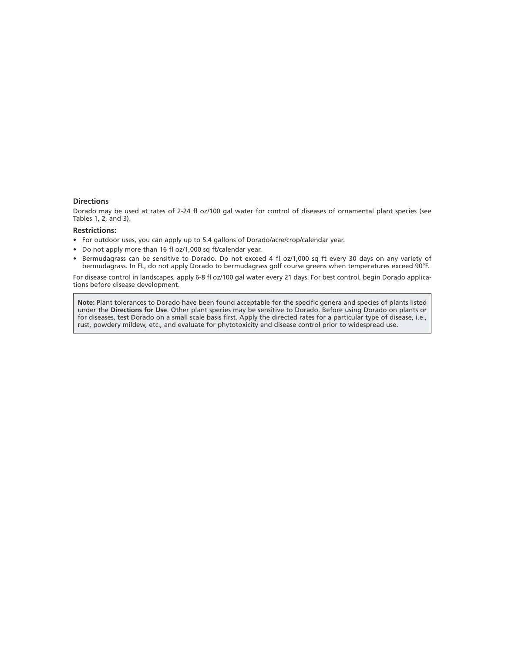#### **Directions**

Dorado may be used at rates of 2-24 fl oz/100 gal water for control of diseases of ornamental plant species (see Tables 1, 2, and 3).

#### **Restrictions:**

- For outdoor uses, you can apply up to 5.4 gallons of Dorado/acre/crop/calendar year.
- Do not apply more than 16 fl oz/1,000 sq ft/calendar year.
- Bermudagrass can be sensitive to Dorado. Do not exceed 4 fl oz/1,000 sq ft every 30 days on any variety of bermudagrass. In FL, do not apply Dorado to bermudagrass golf course greens when temperatures exceed 90°F.

For disease control in landscapes, apply 6-8 fl oz/100 gal water every 21 days. For best control, begin Dorado applications before disease development.

**Note:** Plant tolerances to Dorado have been found acceptable for the specific genera and species of plants listed under the **Directions for Use**. Other plant species may be sensitive to Dorado. Before using Dorado on plants or for diseases, test Dorado on a small scale basis first. Apply the directed rates for a particular type of disease, i.e., rust, powdery mildew, etc., and evaluate for phytotoxicity and disease control prior to widespread use.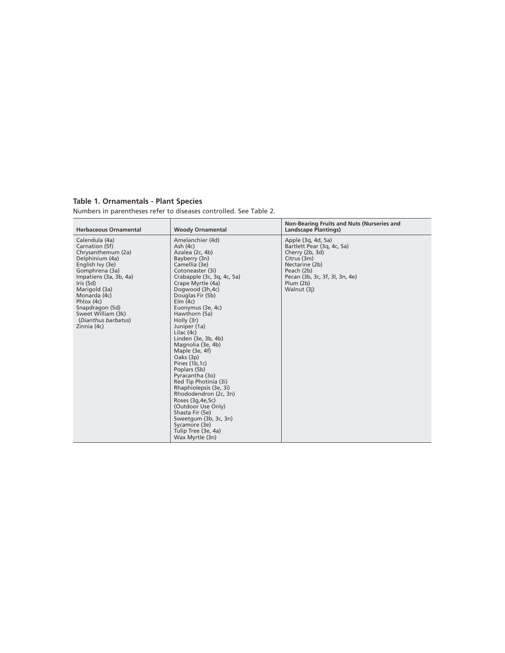#### **Table 1. Ornamentals - Plant Species**

Numbers in parentheses refer to diseases controlled. See Table 2.

| <b>Herbaceous Ornamental</b>                                                                                                                                                                                                                                                           | <b>Woody Ornamental</b>                                                                                                                                                                                                                                                                                                                                                                                                                                                                                                                                                                                                                                            | Non-Bearing Fruits and Nuts (Nurseries and<br><b>Landscape Plantings)</b>                                                                                                        |
|----------------------------------------------------------------------------------------------------------------------------------------------------------------------------------------------------------------------------------------------------------------------------------------|--------------------------------------------------------------------------------------------------------------------------------------------------------------------------------------------------------------------------------------------------------------------------------------------------------------------------------------------------------------------------------------------------------------------------------------------------------------------------------------------------------------------------------------------------------------------------------------------------------------------------------------------------------------------|----------------------------------------------------------------------------------------------------------------------------------------------------------------------------------|
| Calendula (4a)<br>Carnation (5f)<br>Chrysanthemum (2a)<br>Delphinium (4a)<br>English Ivy (3e)<br>Gomphrena (3a)<br>Impatiens (3a, 3b, 4a)<br>Iris $(5d)$<br>Marigold (3a)<br>Monarda (4c)<br>Phlox (4c)<br>Snapdragon (5d)<br>Sweet William (3k)<br>(Dianthus barbatus)<br>Zinnia (4c) | Amelanchier (4d)<br>Ash(4c)<br>Azalea (2c, 4b)<br>Bayberry (3n)<br>Camellia (3e)<br>Cotoneaster (3i)<br>Crabapple (3c, 3g, 4c, 5a)<br>Crape Myrtle (4a)<br>Dogwood (3h,4c)<br>Douglas Fir (5b)<br>$E$ lm $(4c)$<br>Euonymus (3e, 4c)<br>Hawthorn (5a)<br>Holly (3r)<br>Juniper (1a)<br>Lilac $(4c)$<br>Linden (3e, 3b, 4b)<br>Magnolia (3e, 4b)<br>Maple (3e, 4f)<br>Oaks (3p)<br>Pines (1b, 1c)<br>Poplars (5b)<br>Pyracantha (3o)<br>Red Tip Photinia (3i)<br>Rhaphiolepsis (3e, 3i)<br>Rhododendron (2c, 3n)<br>Roses (3q, 4e, 5c)<br>(Outdoor Use Only)<br>Shasta Fir (5e)<br>Sweetgum (3b, 3c, 3n)<br>Sycamore (3e)<br>Tulip Tree (3e, 4a)<br>Wax Myrtle (3n) | Apple (3q, 4d, 5a)<br>Bartlett Pear (3q, 4c, 5a)<br>Cherry (2b, 3d)<br>Citrus (3m)<br>Nectarine (2b)<br>Peach (2b)<br>Pecan (3b, 3c, 3f, 3l, 3n, 4e)<br>Plum (2b)<br>Walnut (3j) |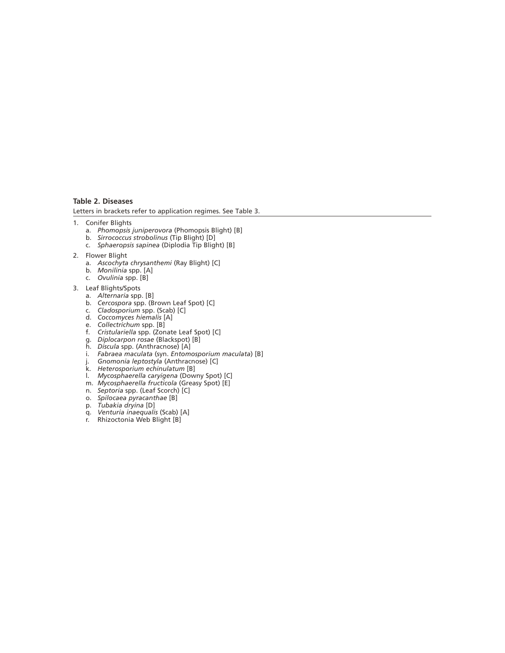#### **Table 2. Diseases**

Letters in brackets refer to application regimes. See Table 3.

- 1. Conifer Blights
	- a. *Phomopsis juniperovora* (Phomopsis Blight) [B]
	- b. *Sirrococcus strobolinus* (Tip Blight) [D]
	- c. *Sphaeropsis sapinea* (Diplodia Tip Blight) [B]
- 2. Flower Blight
	- a. *Ascochyta chrysanthemi* (Ray Blight) [C]
- b. *Monilinia* spp. [A]
- c. *Ovulinia* spp. [B]
- 3. Leaf Blights/Spots
	- a. *Alternaria* spp. [B]
- b. *Cercospora* spp. (Brown Leaf Spot) [C]
- c. *Cladosporium* spp. (Scab) [C]
- d. *Coccomyces hiemalis* [A]
	- e. *Collectrichum* spp. [B]
	- f. *Cristulariella* spp. (Zonate Leaf Spot) [C]
- g. *Diplocarpon rosae* (Blackspot) [B]
- h. *Discula* spp. (Anthracnose) [A]
- i. *Fabraea maculata* (syn. *Entomosporium maculata*) [B]
- j. *Gnomonia leptostyla* (Anthracnose) [C]
- k. *Heterosporium echinulatum* [B]
	- l. *Mycosphaerella caryigena* (Downy Spot) [C]
- m. *Mycosphaerella fructicola* (Greasy Spot) [E]
- n. *Septoria* spp. (Leaf Scorch) [C]
	- o. *Spilocaea pyracanthae* [B]
- p. *Tubakia dryina* [D]
- q. *Venturia inaequalis* (Scab) [A]
	- r. Rhizoctonia Web Blight [B]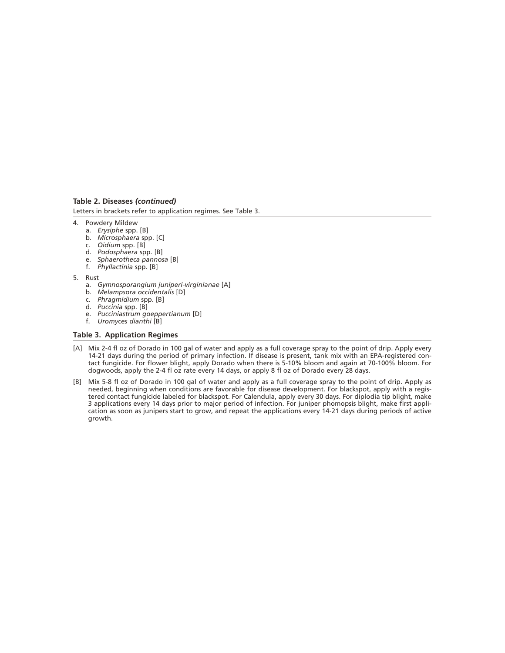#### **Table 2. Diseases** *(continued)*

Letters in brackets refer to application regimes. See Table 3.

- 4. Powdery Mildew
	- a. *Erysiphe* spp. [B]
	- b. *Microsphaera* spp. [C]
	- c. *Oidium* spp. [B]
	- d. *Podosphaera* spp. [B]
	- e. *Sphaerotheca pannosa* [B] f. *Phyllactinia* spp. [B]
- 5. Rust
	- a. *Gymnosporangium juniperi-virginianae* [A]
	- b. *Melampsora occidentalis* [D]
	- c. *Phragmidium* spp. [B]
	- d. *Puccinia* spp. [B]
	- e. *Pucciniastrum goeppertianum* [D]
	- f. *Uromyces dianthi* [B]

#### **Table 3. Application Regimes**

- [A] Mix 2-4 fl oz of Dorado in 100 gal of water and apply as a full coverage spray to the point of drip. Apply every 14-21 days during the period of primary infection. If disease is present, tank mix with an EPA-registered contact fungicide. For flower blight, apply Dorado when there is 5-10% bloom and again at 70-100% bloom. For dogwoods, apply the 2-4 fl oz rate every 14 days, or apply 8 fl oz of Dorado every 28 days.
- [B] Mix 5-8 fl oz of Dorado in 100 gal of water and apply as a full coverage spray to the point of drip. Apply as needed, beginning when conditions are favorable for disease development. For blackspot, apply with a registered contact fungicide labeled for blackspot. For Calendula, apply every 30 days. For diplodia tip blight, make 3 applications every 14 days prior to major period of infection. For juniper phomopsis blight, make first application as soon as junipers start to grow, and repeat the applications every 14-21 days during periods of active growth.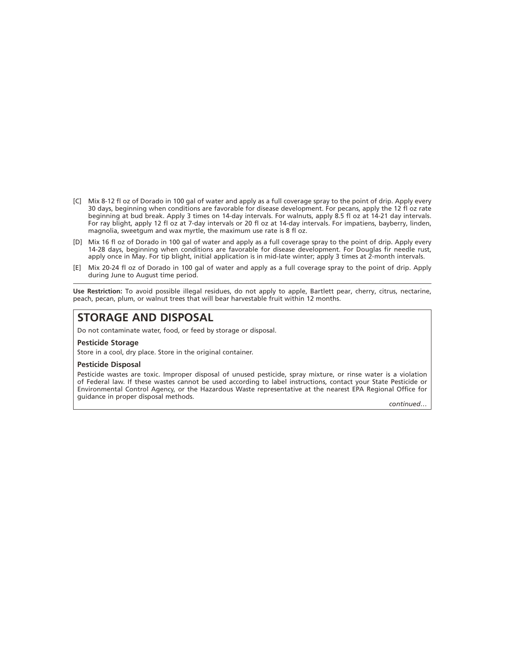- [C] Mix 8-12 fl oz of Dorado in 100 gal of water and apply as a full coverage spray to the point of drip. Apply every 30 days, beginning when conditions are favorable for disease development. For pecans, apply the 12 fl oz rate beginning at bud break. Apply 3 times on 14-day intervals. For walnuts, apply 8.5 fl oz at 14-21 day intervals. For ray blight, apply 12 fl oz at 7-day intervals or 20 fl oz at 14-day intervals. For impatiens, bayberry, linden, magnolia, sweetgum and wax myrtle, the maximum use rate is 8 fl oz.
- [D] Mix 16 fl oz of Dorado in 100 gal of water and apply as a full coverage spray to the point of drip. Apply every 14-28 days, beginning when conditions are favorable for disease development. For Douglas fir needle rust, apply once in May. For tip blight, initial application is in mid-late winter; apply 3 times at 2-month intervals.
- [E] Mix 20-24 fl oz of Dorado in 100 gal of water and apply as a full coverage spray to the point of drip. Apply during June to August time period.

**Use Restriction:** To avoid possible illegal residues, do not apply to apple, Bartlett pear, cherry, citrus, nectarine, peach, pecan, plum, or walnut trees that will bear harvestable fruit within 12 months.

## **STORAGE AND DISPOSAL**

Do not contaminate water, food, or feed by storage or disposal.

#### **Pesticide Storage**

Store in a cool, dry place. Store in the original container.

#### **Pesticide Disposal**

Pesticide wastes are toxic. Improper disposal of unused pesticide, spray mixture, or rinse water is a violation of Federal law. If these wastes cannot be used according to label instructions, contact your State Pesticide or Environmental Control Agency, or the Hazardous Waste representative at the nearest EPA Regional Office for guidance in proper disposal methods.

*continued…*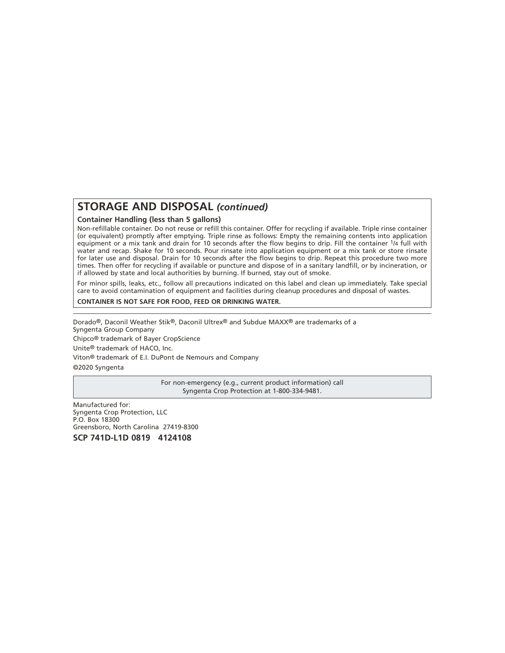## **STORAGE AND DISPOSAL** *(continued)*

#### **Container Handling (less than 5 gallons)**

Non-refillable container. Do not reuse or refill this container. Offer for recycling if available. Triple rinse container (or equivalent) promptly after emptying. Triple rinse as follows: Empty the remaining contents into application equipment or a mix tank and drain for 10 seconds after the flow begins to drip. Fill the container 1/4 full with water and recap. Shake for 10 seconds. Pour rinsate into application equipment or a mix tank or store rinsate for later use and disposal. Drain for 10 seconds after the flow begins to drip. Repeat this procedure two more times. Then offer for recycling if available or puncture and dispose of in a sanitary landfill, or by incineration, or if allowed by state and local authorities by burning. If burned, stay out of smoke.

For minor spills, leaks, etc., follow all precautions indicated on this label and clean up immediately. Take special care to avoid contamination of equipment and facilities during cleanup procedures and disposal of wastes.

#### **CONTAINER IS NOT SAFE FOR FOOD, FEED OR DRINKING WATER.**

Dorado®, Daconil Weather Stik®, Daconil Ultrex® and Subdue MAXX® are trademarks of a Syngenta Group Company Chipco® trademark of Bayer CropScience Unite® trademark of HACO, Inc. Viton® trademark of E.I. DuPont de Nemours and Company ©2020 Syngenta

> For non-emergency (e.g., current product information) call Syngenta Crop Protection at 1-800-334-9481.

Manufactured for: Syngenta Crop Protection, LLC P.O. Box 18300 Greensboro, North Carolina 27419-8300 **SCP 741D-L1D 0819 4124108**